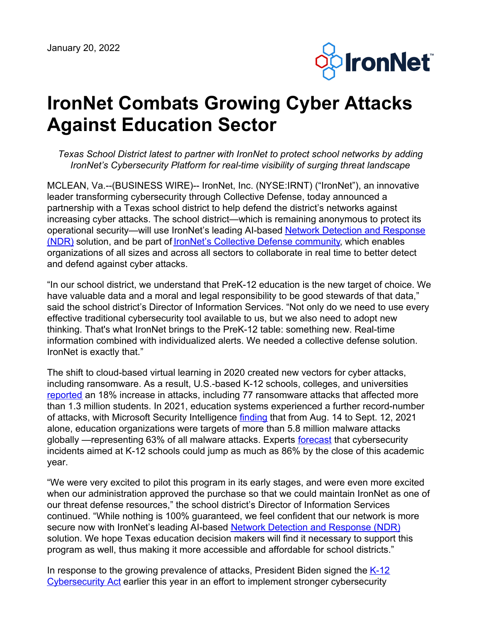

## **IronNet Combats Growing Cyber Attacks Against Education Sector**

*Texas School District latest to partner with IronNet to protect school networks by adding IronNet's Cybersecurity Platform for real-time visibility of surging threat landscape*

MCLEAN, Va.--(BUSINESS WIRE)-- IronNet, Inc. (NYSE:IRNT) ("IronNet"), an innovative leader transforming cybersecurity through Collective Defense, today announced a partnership with a Texas school district to help defend the district's networks against increasing cyber attacks. The school district—which is remaining anonymous to protect its operational [security—will](https://www.ironnet.com/what-is-network-detection-and-response) use IronNet's leading AI-based Network Detection and Response (NDR) solution, and be part of IronNet's Collective Defense [community,](https://www.ironnet.com/what-is-collective-defense?hsLang=en) which enables organizations of all sizes and across all sectors to collaborate in real time to better detect and defend against cyber attacks.

"In our school district, we understand that PreK-12 education is the new target of choice. We have valuable data and a moral and legal responsibility to be good stewards of that data," said the school district's Director of Information Services. "Not only do we need to use every effective traditional cybersecurity tool available to us, but we also need to adopt new thinking. That's what IronNet brings to the PreK-12 table: something new. Real-time information combined with individualized alerts. We needed a collective defense solution. IronNet is exactly that."

The shift to cloud-based virtual learning in 2020 created new vectors for cyber attacks, including ransomware. As a result, U.S.-based K-12 schools, colleges, and universities [reported](https://gcn.com/cybersecurity/2021/09/cybercriminals-use-pandemic-to-attack-schools-and-colleges/316131/) an 18% increase in attacks, including 77 ransomware attacks that affected more than 1.3 million students. In 2021, education systems experienced a further record-number of attacks, with Microsoft Security Intelligence [finding](https://gcn.com/cybersecurity/2021/09/cybercriminals-use-pandemic-to-attack-schools-and-colleges/316131/#:~:text=From%20Aug.,colleges%20and%20universities%20in%202020.) that from Aug. 14 to Sept. 12, 2021 alone, education organizations were targets of more than 5.8 million malware attacks globally —representing 63% of all malware attacks. Experts <u>[forecast](https://edscoop.com/cyber-incidents-k12-schools-expected-rise-86-percent/)</u> that cybersecurity incidents aimed at K-12 schools could jump as much as 86% by the close of this academic year.

"We were very excited to pilot this program in its early stages, and were even more excited when our administration approved the purchase so that we could maintain IronNet as one of our threat defense resources," the school district's Director of Information Services continued. "While nothing is 100% guaranteed, we feel confident that our network is more secure now with IronNet's leading AI-based Network Detection and [Response](https://www.ironnet.com/what-is-network-detection-and-response) (NDR) solution. We hope Texas education decision makers will find it necessary to support this program as well, thus making it more accessible and affordable for school districts."

In response to the growing prevalence of attacks, President Biden signed the K-12 [Cybersecurity](https://www.hsgac.senate.gov/media/majority-media/peters-scott-reintroduce-bipartisan-legislation-to-help-protect-k-12-school-systems-from-cyber-attacks) Act earlier this year in an effort to implement stronger cybersecurity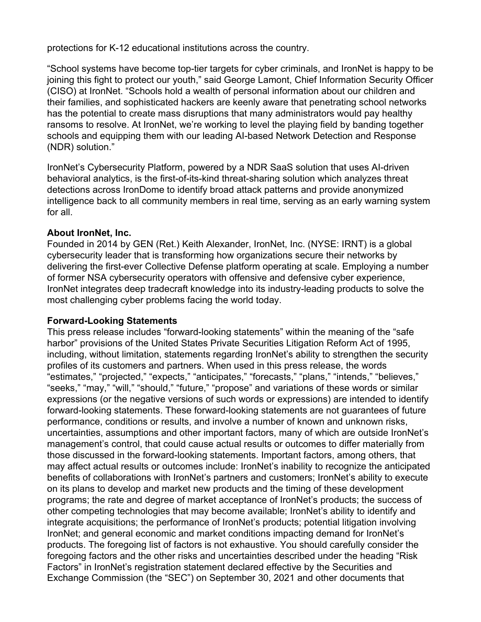protections for K-12 educational institutions across the country.

"School systems have become top-tier targets for cyber criminals, and IronNet is happy to be joining this fight to protect our youth," said George Lamont, Chief Information Security Officer (CISO) at IronNet. "Schools hold a wealth of personal information about our children and their families, and sophisticated hackers are keenly aware that penetrating school networks has the potential to create mass disruptions that many administrators would pay healthy ransoms to resolve. At IronNet, we're working to level the playing field by banding together schools and equipping them with our leading AI-based Network Detection and Response (NDR) solution."

IronNet's Cybersecurity Platform, powered by a NDR SaaS solution that uses AI-driven behavioral analytics, is the first-of-its-kind threat-sharing solution which analyzes threat detections across IronDome to identify broad attack patterns and provide anonymized intelligence back to all community members in real time, serving as an early warning system for all.

## **About IronNet, Inc.**

Founded in 2014 by GEN (Ret.) Keith Alexander, IronNet, Inc. (NYSE: IRNT) is a global cybersecurity leader that is transforming how organizations secure their networks by delivering the first-ever Collective Defense platform operating at scale. Employing a number of former NSA cybersecurity operators with offensive and defensive cyber experience, IronNet integrates deep tradecraft knowledge into its industry-leading products to solve the most challenging cyber problems facing the world today.

## **Forward-Looking Statements**

This press release includes "forward-looking statements" within the meaning of the "safe harbor" provisions of the United States Private Securities Litigation Reform Act of 1995, including, without limitation, statements regarding IronNet's ability to strengthen the security profiles of its customers and partners. When used in this press release, the words "estimates," "projected," "expects," "anticipates," "forecasts," "plans," "intends," "believes," "seeks," "may," "will," "should," "future," "propose" and variations of these words or similar expressions (or the negative versions of such words or expressions) are intended to identify forward-looking statements. These forward-looking statements are not guarantees of future performance, conditions or results, and involve a number of known and unknown risks, uncertainties, assumptions and other important factors, many of which are outside IronNet's management's control, that could cause actual results or outcomes to differ materially from those discussed in the forward-looking statements. Important factors, among others, that may affect actual results or outcomes include: IronNet's inability to recognize the anticipated benefits of collaborations with IronNet's partners and customers; IronNet's ability to execute on its plans to develop and market new products and the timing of these development programs; the rate and degree of market acceptance of IronNet's products; the success of other competing technologies that may become available; IronNet's ability to identify and integrate acquisitions; the performance of IronNet's products; potential litigation involving IronNet; and general economic and market conditions impacting demand for IronNet's products. The foregoing list of factors is not exhaustive. You should carefully consider the foregoing factors and the other risks and uncertainties described under the heading "Risk Factors" in IronNet's registration statement declared effective by the Securities and Exchange Commission (the "SEC") on September 30, 2021 and other documents that